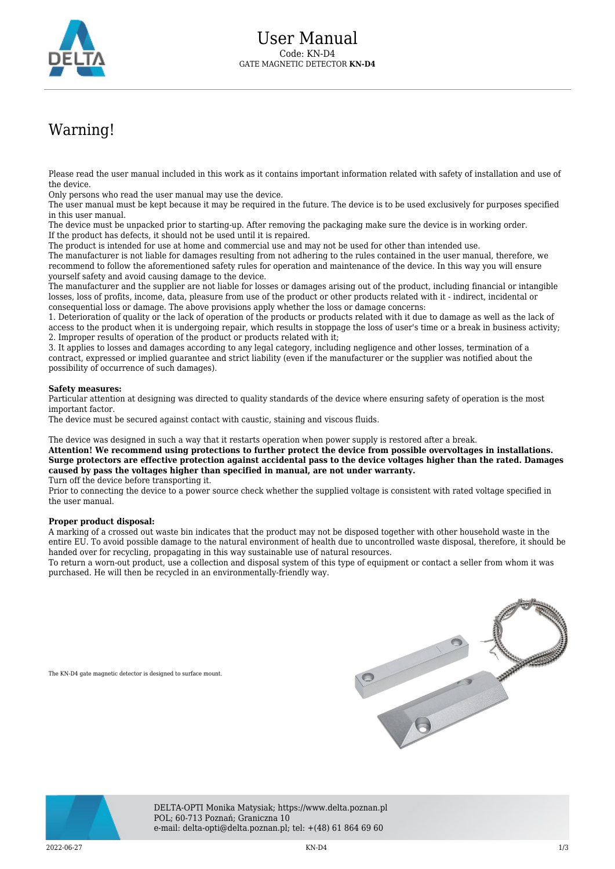

## Warning!

Please read the user manual included in this work as it contains important information related with safety of installation and use of the device.

Only persons who read the user manual may use the device.

The user manual must be kept because it may be required in the future. The device is to be used exclusively for purposes specified in this user manual.

The device must be unpacked prior to starting-up. After removing the packaging make sure the device is in working order. If the product has defects, it should not be used until it is repaired.

The product is intended for use at home and commercial use and may not be used for other than intended use.

The manufacturer is not liable for damages resulting from not adhering to the rules contained in the user manual, therefore, we recommend to follow the aforementioned safety rules for operation and maintenance of the device. In this way you will ensure yourself safety and avoid causing damage to the device.

The manufacturer and the supplier are not liable for losses or damages arising out of the product, including financial or intangible losses, loss of profits, income, data, pleasure from use of the product or other products related with it - indirect, incidental or consequential loss or damage. The above provisions apply whether the loss or damage concerns:

1. Deterioration of quality or the lack of operation of the products or products related with it due to damage as well as the lack of access to the product when it is undergoing repair, which results in stoppage the loss of user's time or a break in business activity; 2. Improper results of operation of the product or products related with it;

3. It applies to losses and damages according to any legal category, including negligence and other losses, termination of a contract, expressed or implied guarantee and strict liability (even if the manufacturer or the supplier was notified about the possibility of occurrence of such damages).

## **Safety measures:**

Particular attention at designing was directed to quality standards of the device where ensuring safety of operation is the most important factor.

The device must be secured against contact with caustic, staining and viscous fluids.

The device was designed in such a way that it restarts operation when power supply is restored after a break.

**Attention! We recommend using protections to further protect the device from possible overvoltages in installations. Surge protectors are effective protection against accidental pass to the device voltages higher than the rated. Damages caused by pass the voltages higher than specified in manual, are not under warranty.**

Turn off the device before transporting it.

Prior to connecting the device to a power source check whether the supplied voltage is consistent with rated voltage specified in the user manual.

## **Proper product disposal:**

A marking of a crossed out waste bin indicates that the product may not be disposed together with other household waste in the entire EU. To avoid possible damage to the natural environment of health due to uncontrolled waste disposal, therefore, it should be handed over for recycling, propagating in this way sustainable use of natural resources.

To return a worn-out product, use a collection and disposal system of this type of equipment or contact a seller from whom it was purchased. He will then be recycled in an environmentally-friendly way.

The KN-D4 gate magnetic detector is designed to surface mount.





DELTA-OPTI Monika Matysiak; https://www.delta.poznan.pl POL; 60-713 Poznań; Graniczna 10 e-mail: delta-opti@delta.poznan.pl; tel: +(48) 61 864 69 60

2022-06-27 KN-D4 1/3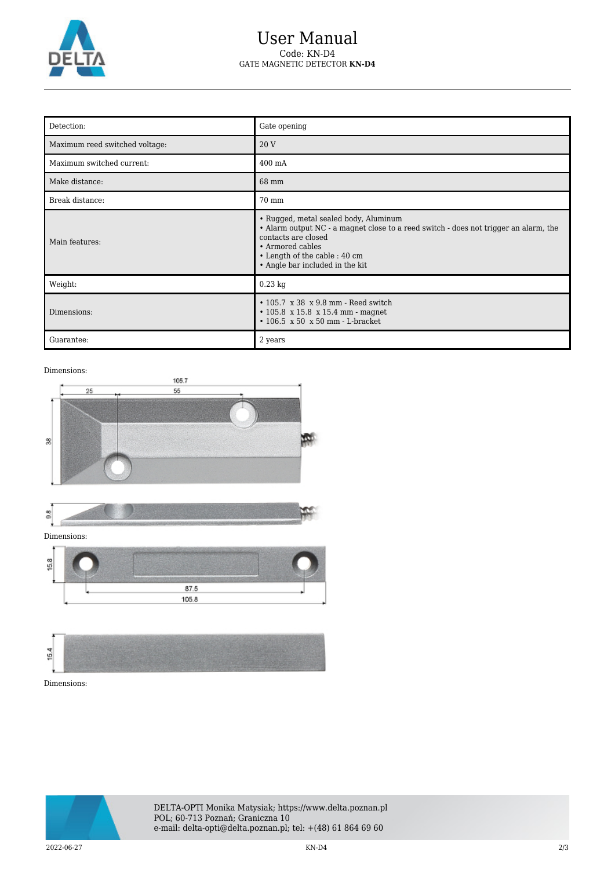

## User Manual Code: KN-D4 GATE MAGNETIC DETECTOR **KN-D4**

| Detection:                     | Gate opening                                                                                                                                                                                                                                 |
|--------------------------------|----------------------------------------------------------------------------------------------------------------------------------------------------------------------------------------------------------------------------------------------|
| Maximum reed switched voltage: | 20 V                                                                                                                                                                                                                                         |
| Maximum switched current:      | 400 mA                                                                                                                                                                                                                                       |
| Make distance:                 | 68 mm                                                                                                                                                                                                                                        |
| Break distance:                | 70 mm                                                                                                                                                                                                                                        |
| Main features:                 | • Rugged, metal sealed body, Aluminum<br>• Alarm output NC - a magnet close to a reed switch - does not trigger an alarm, the<br>contacts are closed<br>• Armored cables<br>• Length of the cable : 40 cm<br>• Angle bar included in the kit |
| Weight:                        | $0.23$ kg                                                                                                                                                                                                                                    |
| Dimensions:                    | $\cdot$ 105.7 x 38 x 9.8 mm - Reed switch<br>$\cdot$ 105.8 x 15.8 x 15.4 mm - magnet<br>$\cdot$ 106.5 x 50 x 50 mm - L-bracket                                                                                                               |
| Guarantee:                     | 2 years                                                                                                                                                                                                                                      |

Dimensions:



Dimensions:



DELTA-OPTI Monika Matysiak; https://www.delta.poznan.pl POL; 60-713 Poznań; Graniczna 10 e-mail: delta-opti@delta.poznan.pl; tel: +(48) 61 864 69 60

2022-06-27 KN-D4 2/3